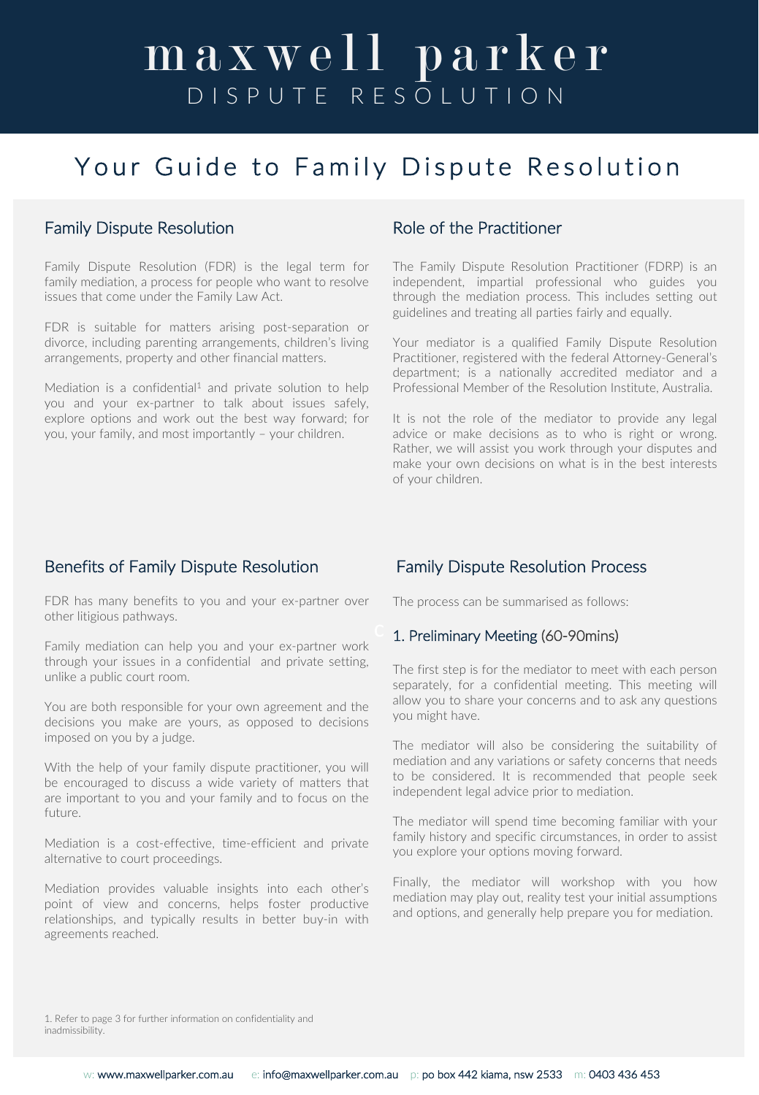### Your Guide to Family Dispute Resolution

### Family Dispute Resolution

Family Dispute Resolution (FDR) is the legal term for family mediation, a process for people who want to resolve issues that come under the Family Law Act.

FDR is suitable for matters arising post-separation or divorce, including parenting arrangements, children's living arrangements, property and other financial matters.

Mediation is a confidential<sup>1</sup> and private solution to help you and your ex-partner to talk about issues safely, explore options and work out the best way forward; for you, your family, and most importantly – your children.

### Role of the Practitioner

The Family Dispute Resolution Practitioner (FDRP) is an independent, impartial professional who guides you through the mediation process. This includes setting out guidelines and treating all parties fairly and equally.

Your mediator is a qualified Family Dispute Resolution Practitioner, registered with the federal Attorney-General's department; is a nationally accredited mediator and a Professional Member of the Resolution Institute, Australia.

It is not the role of the mediator to provide any legal advice or make decisions as to who is right or wrong. Rather, we will assist you work through your disputes and make your own decisions on what is in the best interests of your children.

### Benefits of Family Dispute Resolution

FDR has many benefits to you and your ex-partner over other litigious pathways.

Family mediation can help you and your ex-partner work through your issues in a confidential and private setting, unlike a public court room.

You are both responsible for your own agreement and the decisions you make are yours, as opposed to decisions imposed on you by a judge.

With the help of your family dispute practitioner, you will be encouraged to discuss a wide variety of matters that are important to you and your family and to focus on the future.

Mediation is a cost-effective, time-efficient and private alternative to court proceedings.

Mediation provides valuable insights into each other's point of view and concerns, helps foster productive relationships, and typically results in better buy-in with agreements reached.

### Family Dispute Resolution Process

The process can be summarised as follows:

#### 1. Preliminary Meeting (60-90mins)

The first step is for the mediator to meet with each person separately, for a confidential meeting. This meeting will allow you to share your concerns and to ask any questions you might have.

The mediator will also be considering the suitability of mediation and any variations or safety concerns that needs to be considered. It is recommended that people seek independent legal advice prior to mediation.

The mediator will spend time becoming familiar with your family history and specific circumstances, in order to assist you explore your options moving forward.

Finally, the mediator will workshop with you how mediation may play out, reality test your initial assumptions and options, and generally help prepare you for mediation.

1. Refer to page 3 for further information on confidentiality and inadmissibility.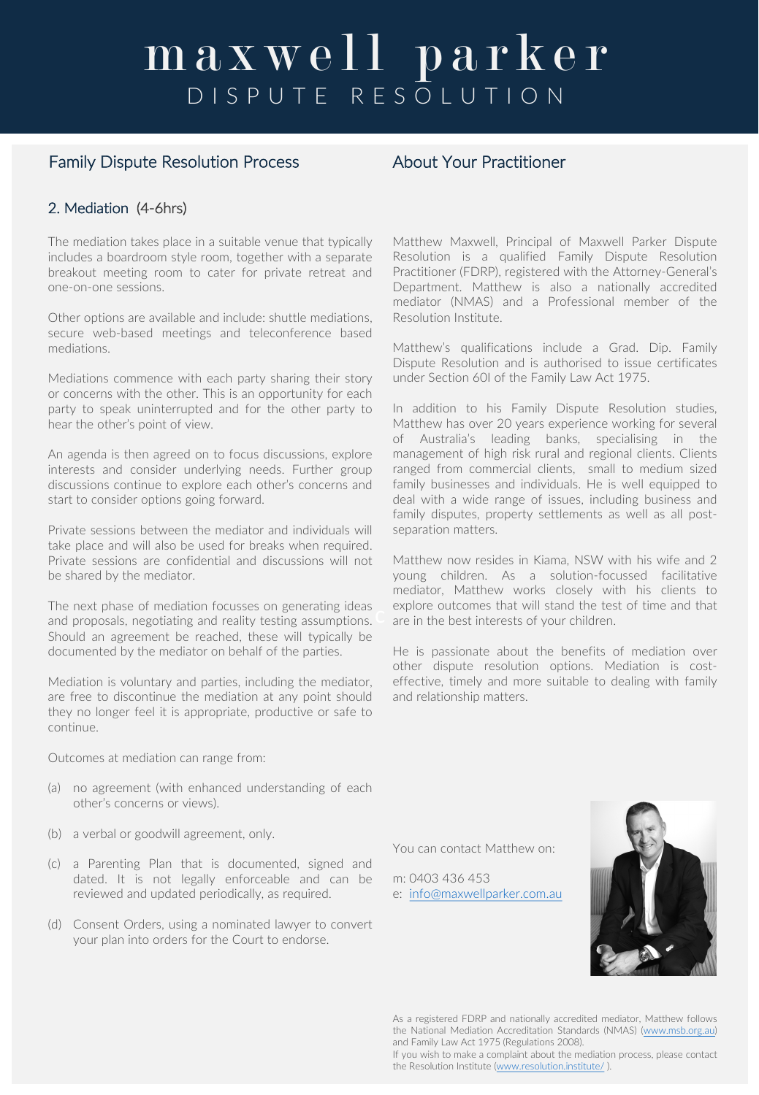### Family Dispute Resolution Process About Your Practitioner

### 2. Mediation (4-6hrs)

The mediation takes place in a suitable venue that typically includes a boardroom style room, together with a separate breakout meeting room to cater for private retreat and one-on-one sessions.

Other options are available and include: shuttle mediations, secure web-based meetings and teleconference based mediations.

Mediations commence with each party sharing their story or concerns with the other. This is an opportunity for each party to speak uninterrupted and for the other party to hear the other's point of view.

An agenda is then agreed on to focus discussions, explore interests and consider underlying needs. Further group discussions continue to explore each other's concerns and start to consider options going forward.

Private sessions between the mediator and individuals will take place and will also be used for breaks when required. Private sessions are confidential and discussions will not be shared by the mediator.

The next phase of mediation focusses on generating ideas and proposals, negotiating and reality testing assumptions. Should an agreement be reached, these will typically be documented by the mediator on behalf of the parties.

Mediation is voluntary and parties, including the mediator, are free to discontinue the mediation at any point should they no longer feel it is appropriate, productive or safe to continue.

Outcomes at mediation can range from:

- (a) no agreement (with enhanced understanding of each other's concerns or views).
- (b) a verbal or goodwill agreement, only.
- (c) a Parenting Plan that is documented, signed and dated. It is not legally enforceable and can be reviewed and updated periodically, as required.
- (d) Consent Orders, using a nominated lawyer to convert your plan into orders for the Court to endorse.

Matthew Maxwell, Principal of Maxwell Parker Dispute Resolution is a qualified Family Dispute Resolution Practitioner (FDRP), registered with the Attorney-General's Department. Matthew is also a nationally accredited mediator (NMAS) and a Professional member of the Resolution Institute.

Matthew's qualifications include a Grad. Dip. Family Dispute Resolution and is authorised to issue certificates under Section 60I of the Family Law Act 1975.

In addition to his Family Dispute Resolution studies, Matthew has over 20 years experience working for several of Australia's leading banks, specialising in the management of high risk rural and regional clients. Clients ranged from commercial clients, small to medium sized family businesses and individuals. He is well equipped to deal with a wide range of issues, including business and family disputes, property settlements as well as all postseparation matters.

Matthew now resides in Kiama, NSW with his wife and 2 young children. As a solution-focussed facilitative mediator, Matthew works closely with his clients to explore outcomes that will stand the test of time and that are in the best interests of your children.

He is passionate about the benefits of mediation over other dispute resolution options. Mediation is costeffective, timely and more suitable to dealing with family and relationship matters.

You can contact Matthew on:

m: 0403 436 453 e: info@maxwellparker.com.au



As a registered FDRP and nationally accredited mediator, Matthew follows the National Mediation Accreditation Standards (NMAS) (www.msb.org.au) and Family Law Act 1975 (Regulations 2008).

If you wish to make a complaint about the mediation process, please contact the Resolution Institute (www.resolution.institute/ ).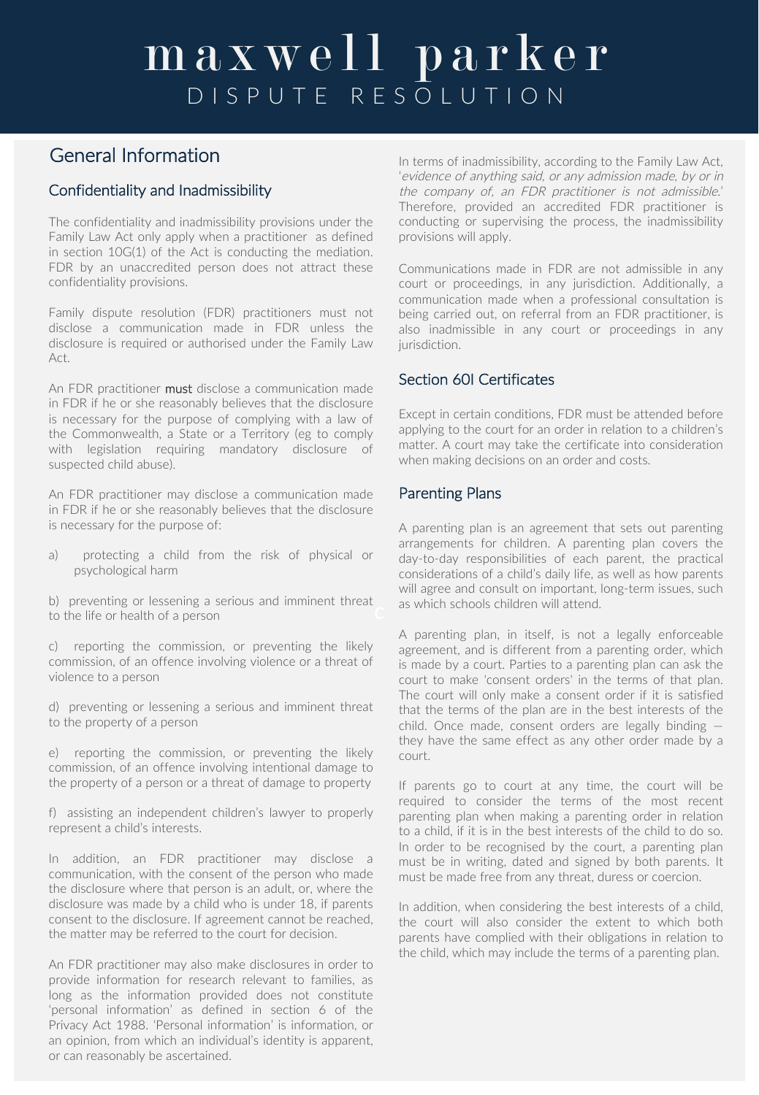### General Information

### Confidentiality and Inadmissibility

The confidentiality and inadmissibility provisions under the Family Law Act only apply when a practitioner as defined in section 10G(1) of the Act is conducting the mediation. FDR by an unaccredited person does not attract these confidentiality provisions.

Family dispute resolution (FDR) practitioners must not disclose a communication made in FDR unless the disclosure is required or authorised under the Family Law Act.

An FDR practitioner must disclose a communication made in FDR if he or she reasonably believes that the disclosure is necessary for the purpose of complying with a law of the Commonwealth, a State or a Territory (eg to comply with legislation requiring mandatory disclosure of suspected child abuse).

An FDR practitioner may disclose a communication made in FDR if he or she reasonably believes that the disclosure is necessary for the purpose of:

a) protecting a child from the risk of physical or psychological harm

b) preventing or lessening a serious and imminent threat to the life or health of a person

c) reporting the commission, or preventing the likely commission, of an offence involving violence or a threat of violence to a person

d) preventing or lessening a serious and imminent threat to the property of a person

e) reporting the commission, or preventing the likely commission, of an offence involving intentional damage to the property of a person or a threat of damage to property

f) assisting an independent children's lawyer to properly represent a child's interests.

In addition, an FDR practitioner may disclose a communication, with the consent of the person who made the disclosure where that person is an adult, or, where the disclosure was made by a child who is under 18, if parents consent to the disclosure. If agreement cannot be reached, the matter may be referred to the court for decision.

An FDR practitioner may also make disclosures in order to provide information for research relevant to families, as long as the information provided does not constitute 'personal information' as defined in section 6 of the Privacy Act 1988. 'Personal information' is information, or an opinion, from which an individual's identity is apparent, or can reasonably be ascertained.

In terms of inadmissibility, according to the Family Law Act, 'evidence of anything said, or any admission made, by or in the company of, an FDR practitioner is not admissible.' Therefore, provided an accredited FDR practitioner is conducting or supervising the process, the inadmissibility provisions will apply.

Communications made in FDR are not admissible in any court or proceedings, in any jurisdiction. Additionally, a communication made when a professional consultation is being carried out, on referral from an FDR practitioner, is also inadmissible in any court or proceedings in any jurisdiction.

### Section 60I Certificates

Except in certain conditions, FDR must be attended before applying to the court for an order in relation to a children's matter. A court may take the certificate into consideration when making decisions on an order and costs.

#### Parenting Plans

A parenting plan is an agreement that sets out parenting arrangements for children. A parenting plan covers the day-to-day responsibilities of each parent, the practical considerations of a child's daily life, as well as how parents will agree and consult on important, long-term issues, such as which schools children will attend.

A parenting plan, in itself, is not a legally enforceable agreement, and is different from a parenting order, which is made by a court. Parties to a parenting plan can ask the court to make 'consent orders' in the terms of that plan. The court will only make a consent order if it is satisfied that the terms of the plan are in the best interests of the child. Once made, consent orders are legally binding they have the same effect as any other order made by a court.

If parents go to court at any time, the court will be required to consider the terms of the most recent parenting plan when making a parenting order in relation to a child, if it is in the best interests of the child to do so. In order to be recognised by the court, a parenting plan must be in writing, dated and signed by both parents. It must be made free from any threat, duress or coercion.

In addition, when considering the best interests of a child, the court will also consider the extent to which both parents have complied with their obligations in relation to the child, which may include the terms of a parenting plan.